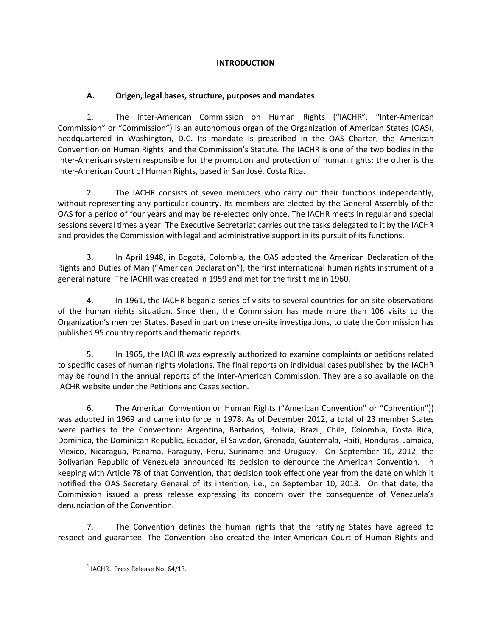# **INTRODUCTION**

# **A. Origen, legal bases, structure, purposes and mandates**

1. The Inter-American Commission on Human Rights ("IACHR", "Inter-American Commission" or "Commission") is an autonomous organ of the Organization of American States (OAS), headquartered in Washington, D.C. Its mandate is prescribed in the OAS Charter, the American Convention on Human Rights, and the Commission's Statute. The IACHR is one of the two bodies in the Inter-American system responsible for the promotion and protection of human rights; the other is the Inter-American Court of Human Rights, based in San José, Costa Rica.

2. The IACHR consists of seven members who carry out their functions independently, without representing any particular country. Its members are elected by the General Assembly of the OAS for a period of four years and may be re-elected only once. The IACHR meets in regular and special sessions several times a year. The Executive Secretariat carries out the tasks delegated to it by the IACHR and provides the Commission with legal and administrative support in its pursuit of its functions.

3. In April 1948, in Bogotá, Colombia, the OAS adopted the American Declaration of the Rights and Duties of Man ("American Declaration"), the first international human rights instrument of a general nature. The IACHR was created in 1959 and met for the first time in 1960.

4. In 1961, the IACHR began a series of visits to several countries for on-site observations of the human rights situation. Since then, the Commission has made more than 106 visits to the Organization's member States. Based in part on these on-site investigations, to date the Commission has published 95 country reports and thematic reports.

5. In 1965, the IACHR was expressly authorized to examine complaints or petitions related to specific cases of human rights violations. The final reports on individual cases published by the IACHR may be found in the annual reports of the Inter-American Commission. They are also available on the IACHR website under the Petitions and Cases section*.*

6. The American Convention on Human Rights ("American Convention" or "Convention")) was adopted in 1969 and came into force in 1978. As of December 2012, a total of 23 member States were parties to the Convention: Argentina, Barbados, Bolivia, Brazil, Chile, Colombia, Costa Rica, Dominica, the Dominican Republic, Ecuador, El Salvador, Grenada, Guatemala, Haiti, Honduras, Jamaica, Mexico, Nicaragua, Panama, Paraguay, Peru, Suriname and Uruguay. On September 10, 2012, the Bolivarian Republic of Venezuela announced its decision to denounce the American Convention. In keeping with Article 78 of that Convention, that decision took effect one year from the date on which it notified the OAS Secretary General of its intention, i.e., on September 10, 2013. On that date, the Commission issued a press release expressing its concern over the consequence of Venezuela's denunciation of the Convention. $1$ 

7. The Convention defines the human rights that the ratifying States have agreed to respect and guarantee. The Convention also created the Inter-American Court of Human Rights and

<span id="page-0-0"></span> $\overline{a}$ 

 $<sup>1</sup>$  IACHR. Press Release No. 64/13.</sup>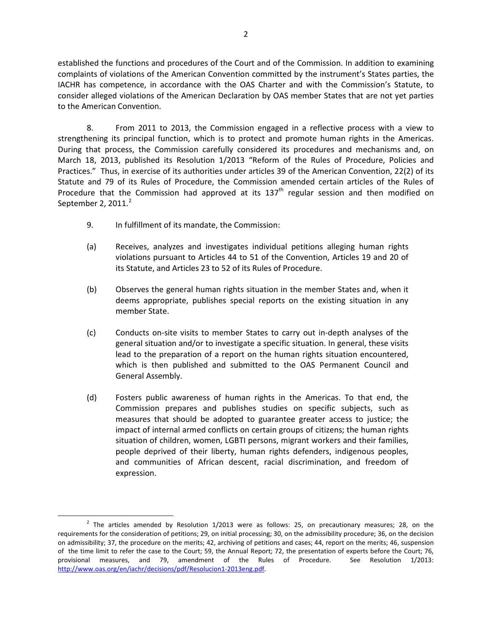established the functions and procedures of the Court and of the Commission. In addition to examining complaints of violations of the American Convention committed by the instrument's States parties, the IACHR has competence, in accordance with the OAS Charter and with the Commission's Statute, to consider alleged violations of the American Declaration by OAS member States that are not yet parties to the American Convention.

8. From 2011 to 2013, the Commission engaged in a reflective process with a view to strengthening its principal function, which is to protect and promote human rights in the Americas. During that process, the Commission carefully considered its procedures and mechanisms and, on March 18, 2013, published its Resolution 1/2013 "Reform of the Rules of Procedure, Policies and Practices." Thus, in exercise of its authorities under articles 39 of the American Convention, 22(2) of its Statute and 79 of its Rules of Procedure, the Commission amended certain articles of the Rules of Procedure that the Commission had approved at its  $137<sup>th</sup>$  regular session and then modified on September [2](#page-1-0),  $2011.<sup>2</sup>$ 

9. In fulfillment of its mandate, the Commission:

 $\overline{a}$ 

- (a) Receives, analyzes and investigates individual petitions alleging human rights violations pursuant to Articles 44 to 51 of the Convention, Articles 19 and 20 of its Statute, and Articles 23 to 52 of its Rules of Procedure.
- (b) Observes the general human rights situation in the member States and, when it deems appropriate, publishes special reports on the existing situation in any member State.
- (c) Conducts on-site visits to member States to carry out in-depth analyses of the general situation and/or to investigate a specific situation. In general, these visits lead to the preparation of a report on the human rights situation encountered, which is then published and submitted to the OAS Permanent Council and General Assembly.
- (d) Fosters public awareness of human rights in the Americas. To that end, the Commission prepares and publishes studies on specific subjects, such as measures that should be adopted to guarantee greater access to justice; the impact of internal armed conflicts on certain groups of citizens; the human rights situation of children, women, LGBTI persons, migrant workers and their families, people deprived of their liberty, human rights defenders, indigenous peoples, and communities of African descent, racial discrimination, and freedom of expression.

<span id="page-1-0"></span> $2$  The articles amended by Resolution  $1/2013$  were as follows: 25, on precautionary measures; 28, on the requirements for the consideration of petitions; 29, on initial processing; 30, on the admissibility procedure; 36, on the decision on admissibility; 37, the procedure on the merits; 42, archiving of petitions and cases; 44, report on the merits; 46, suspension of the time limit to refer the case to the Court; 59, the Annual Report; 72, the presentation of experts before the Court; 76, provisional measures, and 79, amendment of the Rules of Procedure. See Resolution 1/2013: [http://www.oas.org/en/iachr/decisions/pdf/Resolucion1-2013eng.pdf.](http://www.oas.org/en/iachr/decisions/pdf/Resolucion1-2013eng.pdf)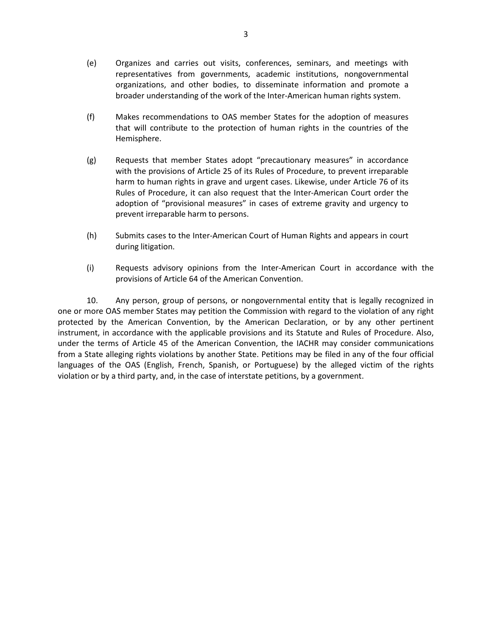- (e) Organizes and carries out visits, conferences, seminars, and meetings with representatives from governments, academic institutions, nongovernmental organizations, and other bodies, to disseminate information and promote a broader understanding of the work of the Inter-American human rights system.
- (f) Makes recommendations to OAS member States for the adoption of measures that will contribute to the protection of human rights in the countries of the Hemisphere.
- (g) Requests that member States adopt "precautionary measures" in accordance with the provisions of Article 25 of its Rules of Procedure, to prevent irreparable harm to human rights in grave and urgent cases. Likewise, under Article 76 of its Rules of Procedure, it can also request that the Inter-American Court order the adoption of "provisional measures" in cases of extreme gravity and urgency to prevent irreparable harm to persons.
- (h) Submits cases to the Inter-American Court of Human Rights and appears in court during litigation.
- (i) Requests advisory opinions from the Inter-American Court in accordance with the provisions of Article 64 of the American Convention.

10. Any person, group of persons, or nongovernmental entity that is legally recognized in one or more OAS member States may petition the Commission with regard to the violation of any right protected by the American Convention, by the American Declaration, or by any other pertinent instrument, in accordance with the applicable provisions and its Statute and Rules of Procedure. Also, under the terms of Article 45 of the American Convention, the IACHR may consider communications from a State alleging rights violations by another State. Petitions may be filed in any of the four official languages of the OAS (English, French, Spanish, or Portuguese) by the alleged victim of the rights violation or by a third party, and, in the case of interstate petitions, by a government.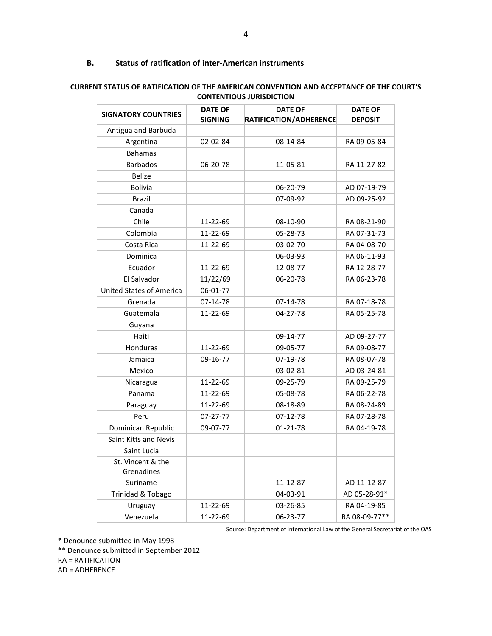## **B. Status of ratification of inter-American instruments**

| <b>SIGNATORY COUNTRIES</b>      | <b>DATE OF</b><br><b>SIGNING</b> | <b>DATE OF</b><br>RATIFICATION/ADHERENCE | <b>DATE OF</b><br><b>DEPOSIT</b> |  |
|---------------------------------|----------------------------------|------------------------------------------|----------------------------------|--|
| Antigua and Barbuda             |                                  |                                          |                                  |  |
| Argentina                       | 02-02-84                         | 08-14-84                                 | RA 09-05-84                      |  |
| <b>Bahamas</b>                  |                                  |                                          |                                  |  |
| <b>Barbados</b>                 | 06-20-78                         | 11-05-81                                 | RA 11-27-82                      |  |
| <b>Belize</b>                   |                                  |                                          |                                  |  |
| <b>Bolivia</b>                  |                                  | 06-20-79                                 | AD 07-19-79                      |  |
| <b>Brazil</b>                   |                                  | 07-09-92                                 | AD 09-25-92                      |  |
| Canada                          |                                  |                                          |                                  |  |
| Chile                           | 11-22-69                         | 08-10-90                                 | RA 08-21-90                      |  |
| Colombia                        | 11-22-69                         | 05-28-73                                 | RA 07-31-73                      |  |
| Costa Rica                      | 11-22-69                         | 03-02-70                                 | RA 04-08-70                      |  |
| Dominica                        |                                  | 06-03-93                                 | RA 06-11-93                      |  |
| Ecuador                         | 11-22-69                         | 12-08-77                                 | RA 12-28-77                      |  |
| El Salvador                     | 11/22/69                         | 06-20-78                                 | RA 06-23-78                      |  |
| <b>United States of America</b> | 06-01-77                         |                                          |                                  |  |
| Grenada                         | 07-14-78                         | 07-14-78                                 | RA 07-18-78                      |  |
| Guatemala                       | 11-22-69                         | 04-27-78                                 | RA 05-25-78                      |  |
| Guyana                          |                                  |                                          |                                  |  |
| Haiti                           |                                  | 09-14-77                                 | AD 09-27-77                      |  |
| Honduras                        | 11-22-69                         | 09-05-77                                 | RA 09-08-77                      |  |
| Jamaica                         | 09-16-77                         | 07-19-78                                 | RA 08-07-78                      |  |
| Mexico                          |                                  | 03-02-81                                 | AD 03-24-81                      |  |
| Nicaragua                       | 11-22-69                         | 09-25-79                                 | RA 09-25-79                      |  |
| Panama                          | 11-22-69                         | 05-08-78                                 | RA 06-22-78                      |  |
| Paraguay                        | 11-22-69                         | 08-18-89                                 | RA 08-24-89                      |  |
| Peru                            | $07 - 27 - 77$                   | 07-12-78                                 | RA 07-28-78                      |  |
| Dominican Republic              | 09-07-77                         | 01-21-78                                 | RA 04-19-78                      |  |
| Saint Kitts and Nevis           |                                  |                                          |                                  |  |
| Saint Lucia                     |                                  |                                          |                                  |  |
| St. Vincent & the<br>Grenadines |                                  |                                          |                                  |  |
| Suriname                        |                                  | 11-12-87                                 | AD 11-12-87                      |  |
| Trinidad & Tobago               |                                  | 04-03-91                                 | AD 05-28-91*                     |  |
| Uruguay                         | 11-22-69                         | 03-26-85                                 | RA 04-19-85                      |  |
| Venezuela                       | 11-22-69                         | 06-23-77                                 | RA 08-09-77**                    |  |

### **CURRENT STATUS OF RATIFICATION OF THE AMERICAN CONVENTION AND ACCEPTANCE OF THE COURT'S CONTENTIOUS JURISDICTION**

Source: Department of International Law of the General Secretariat of the OAS

\* Denounce submitted in May 1998

\*\* Denounce submitted in September 2012

RA = RATIFICATION

AD = ADHERENCE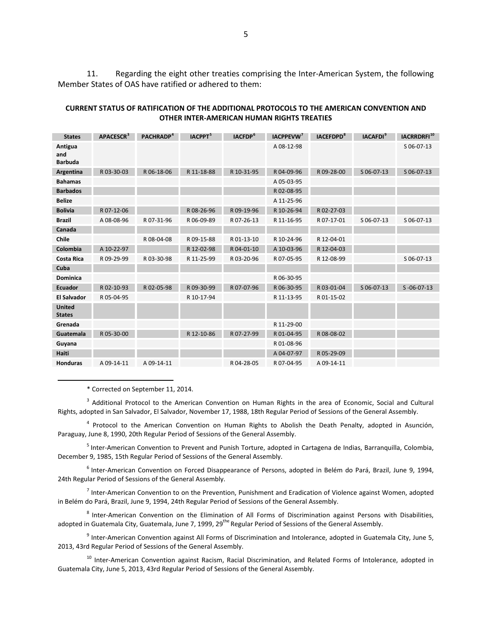11. Regarding the eight other treaties comprising the Inter-American System, the following Member States of OAS have ratified or adhered to them:

| CURRENT STATUS OF RATIFICATION OF THE ADDITIONAL PROTOCOLS TO THE AMERICAN CONVENTION AND |
|-------------------------------------------------------------------------------------------|
| OTHER INTER-AMERICAN HUMAN RIGHTS TREATIES                                                |

| <b>States</b>                    | APACESCR <sup>3</sup> | PACHRADP <sup>4</sup> | <b>IACPPT</b> <sup>5</sup> | IACFDP <sup>6</sup> | IACPPEVW <sup>7</sup> | <b>IACEFDPD<sup>8</sup></b> | <b>IACAFDI</b> <sup>9</sup> | IACRRDRFI <sup>10</sup> |
|----------------------------------|-----------------------|-----------------------|----------------------------|---------------------|-----------------------|-----------------------------|-----------------------------|-------------------------|
| Antigua<br>and<br><b>Barbuda</b> |                       |                       |                            |                     | A 08-12-98            |                             |                             | S 06-07-13              |
| Argentina                        | R 03-30-03            | R 06-18-06            | R 11-18-88                 | R 10-31-95          | R 04-09-96            | R 09-28-00                  | S 06-07-13                  | S 06-07-13              |
| <b>Bahamas</b>                   |                       |                       |                            |                     | A 05-03-95            |                             |                             |                         |
| <b>Barbados</b>                  |                       |                       |                            |                     | R 02-08-95            |                             |                             |                         |
| <b>Belize</b>                    |                       |                       |                            |                     | A 11-25-96            |                             |                             |                         |
| <b>Bolivia</b>                   | R 07-12-06            |                       | R 08-26-96                 | R 09-19-96          | R 10-26-94            | R 02-27-03                  |                             |                         |
| <b>Brazil</b>                    | A 08-08-96            | R07-31-96             | R 06-09-89                 | R 07-26-13          | R 11-16-95            | R 07-17-01                  | S 06-07-13                  | S 06-07-13              |
| Canada                           |                       |                       |                            |                     |                       |                             |                             |                         |
| Chile                            |                       | R 08-04-08            | R 09-15-88                 | R 01-13-10          | R 10-24-96            | R 12-04-01                  |                             |                         |
| Colombia                         | A 10-22-97            |                       | R 12-02-98                 | R 04-01-10          | A 10-03-96            | R 12-04-03                  |                             |                         |
| <b>Costa Rica</b>                | R 09-29-99            | R03-30-98             | R 11-25-99                 | R 03-20-96          | R 07-05-95            | R 12-08-99                  |                             | S 06-07-13              |
| Cuba                             |                       |                       |                            |                     |                       |                             |                             |                         |
| <b>Dominica</b>                  |                       |                       |                            |                     | R 06-30-95            |                             |                             |                         |
| Ecuador                          | R 02-10-93            | R 02-05-98            | R 09-30-99                 | R 07-07-96          | R 06-30-95            | R 03-01-04                  | S 06-07-13                  | $S - 06 - 07 - 13$      |
| <b>El Salvador</b>               | R 05-04-95            |                       | R 10-17-94                 |                     | R 11-13-95            | R 01-15-02                  |                             |                         |
| <b>United</b><br><b>States</b>   |                       |                       |                            |                     |                       |                             |                             |                         |
| Grenada                          |                       |                       |                            |                     | R 11-29-00            |                             |                             |                         |
| Guatemala                        | R 05-30-00            |                       | R 12-10-86                 | R 07-27-99          | R 01-04-95            | R 08-08-02                  |                             |                         |
| Guyana                           |                       |                       |                            |                     | R 01-08-96            |                             |                             |                         |
| Haiti                            |                       |                       |                            |                     | A 04-07-97            | R 05-29-09                  |                             |                         |
| Honduras                         | A 09-14-11            | A 09-14-11            |                            | R 04-28-05          | R 07-04-95            | A 09-14-11                  |                             |                         |

\* Corrected on September 11, 2014.

 $\overline{a}$ 

<span id="page-4-0"></span><sup>3</sup> Additional Protocol to the American Convention on Human Rights in the area of Economic, Social and Cultural Rights, adopted in San Salvador, El Salvador, November 17, 1988, 18th Regular Period of Sessions of the General Assembly.

<span id="page-4-1"></span><sup>4</sup> Protocol to the American Convention on Human Rights to Abolish the Death Penalty, adopted in Asunción, Paraguay, June 8, 1990, 20th Regular Period of Sessions of the General Assembly.

<span id="page-4-2"></span><sup>5</sup> Inter-American Convention to Prevent and Punish Torture, adopted in Cartagena de Indias, Barranquilla, Colombia, December 9, 1985, 15th Regular Period of Sessions of the General Assembly.

<span id="page-4-3"></span><sup>6</sup> Inter-American Convention on Forced Disappearance of Persons, adopted in Belém do Pará, Brazil, June 9, 1994, 24th Regular Period of Sessions of the General Assembly.

<span id="page-4-4"></span> $<sup>7</sup>$  Inter-American Convention to on the Prevention, Punishment and Eradication of Violence against Women, adopted</sup> in Belém do Pará, Brazil, June 9, 1994, 24th Regular Period of Sessions of the General Assembly.

<span id="page-4-5"></span><sup>8</sup> Inter-American Convention on the Elimination of All Forms of Discrimination against Persons with Disabilities, adopted in Guatemala City, Guatemala, June 7, 1999, 29<sup>the</sup> Regular Period of Sessions of the General Assembly.

<span id="page-4-6"></span> $9$  Inter-American Convention against All Forms of Discrimination and Intolerance, adopted in Guatemala City, June 5, 2013, 43rd Regular Period of Sessions of the General Assembly.

<span id="page-4-7"></span><sup>10</sup> Inter-American Convention against Racism, Racial Discrimination, and Related Forms of Intolerance, adopted in Guatemala City, June 5, 2013, 43rd Regular Period of Sessions of the General Assembly.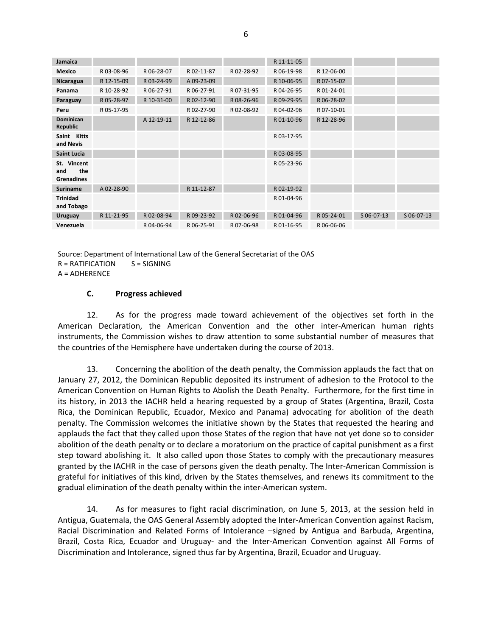| Jamaica                                 |            |            |            |            | R 11-11-05 |            |            |            |
|-----------------------------------------|------------|------------|------------|------------|------------|------------|------------|------------|
| <b>Mexico</b>                           | R03-08-96  | R 06-28-07 | R02-11-87  | R 02-28-92 | R 06-19-98 | R 12-06-00 |            |            |
| Nicaragua                               | R 12-15-09 | R 03-24-99 | A 09-23-09 |            | R 10-06-95 | R 07-15-02 |            |            |
| Panama                                  | R 10-28-92 | R 06-27-91 | R 06-27-91 | R 07-31-95 | R 04-26-95 | R 01-24-01 |            |            |
| Paraguay                                | R 05-28-97 | R 10-31-00 | R 02-12-90 | R 08-26-96 | R 09-29-95 | R 06-28-02 |            |            |
| Peru                                    | R 05-17-95 |            | R 02-27-90 | R02-08-92  | R 04-02-96 | R07-10-01  |            |            |
| <b>Dominican</b><br>Republic            |            | A 12-19-11 | R 12-12-86 |            | R 01-10-96 | R 12-28-96 |            |            |
| Saint Kitts<br>and Nevis                |            |            |            |            | R 03-17-95 |            |            |            |
| <b>Saint Lucia</b>                      |            |            |            |            | R03-08-95  |            |            |            |
| St. Vincent<br>the<br>and<br>Grenadines |            |            |            |            | R 05-23-96 |            |            |            |
| <b>Suriname</b>                         | A 02-28-90 |            | R 11-12-87 |            | R 02-19-92 |            |            |            |
| <b>Trinidad</b><br>and Tobago           |            |            |            |            | R 01-04-96 |            |            |            |
| <b>Uruguay</b>                          | R 11-21-95 | R02-08-94  | R 09-23-92 | R02-06-96  | R 01-04-96 | R 05-24-01 | S 06-07-13 | S 06-07-13 |
| Venezuela                               |            | R 04-06-94 | R 06-25-91 | R07-06-98  | R 01-16-95 | R06-06-06  |            |            |
|                                         |            |            |            |            |            |            |            |            |

Source: Department of International Law of the General Secretariat of the OAS  $R = RATIFICATION$   $S = SIGNING$ A = ADHERENCE

#### **C. Progress achieved**

12. As for the progress made toward achievement of the objectives set forth in the American Declaration, the American Convention and the other inter-American human rights instruments, the Commission wishes to draw attention to some substantial number of measures that the countries of the Hemisphere have undertaken during the course of 2013.

13. Concerning the abolition of the death penalty, the Commission applauds the fact that on January 27, 2012, the Dominican Republic deposited its instrument of adhesion to the Protocol to the American Convention on Human Rights to Abolish the Death Penalty. Furthermore, for the first time in its history, in 2013 the IACHR held a hearing requested by a group of States (Argentina, Brazil, Costa Rica, the Dominican Republic, Ecuador, Mexico and Panama) advocating for abolition of the death penalty. The Commission welcomes the initiative shown by the States that requested the hearing and applauds the fact that they called upon those States of the region that have not yet done so to consider abolition of the death penalty or to declare a moratorium on the practice of capital punishment as a first step toward abolishing it. It also called upon those States to comply with the precautionary measures granted by the IACHR in the case of persons given the death penalty. The Inter-American Commission is grateful for initiatives of this kind, driven by the States themselves, and renews its commitment to the gradual elimination of the death penalty within the inter-American system.

14. As for measures to fight racial discrimination, on June 5, 2013, at the session held in Antigua, Guatemala, the OAS General Assembly adopted the Inter-American Convention against Racism, Racial Discrimination and Related Forms of Intolerance –signed by Antigua and Barbuda, Argentina, Brazil, Costa Rica, Ecuador and Uruguay- and the Inter-American Convention against All Forms of Discrimination and Intolerance, signed thus far by Argentina, Brazil, Ecuador and Uruguay.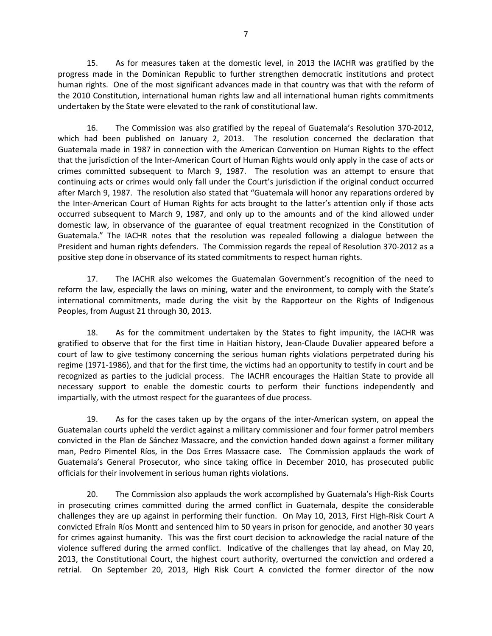15. As for measures taken at the domestic level, in 2013 the IACHR was gratified by the progress made in the Dominican Republic to further strengthen democratic institutions and protect human rights. One of the most significant advances made in that country was that with the reform of the 2010 Constitution, international human rights law and all international human rights commitments undertaken by the State were elevated to the rank of constitutional law.

16. The Commission was also gratified by the repeal of Guatemala's Resolution 370-2012, which had been published on January 2, 2013. The resolution concerned the declaration that Guatemala made in 1987 in connection with the American Convention on Human Rights to the effect that the jurisdiction of the Inter-American Court of Human Rights would only apply in the case of acts or crimes committed subsequent to March 9, 1987. The resolution was an attempt to ensure that continuing acts or crimes would only fall under the Court's jurisdiction if the original conduct occurred after March 9, 1987. The resolution also stated that "Guatemala will honor any reparations ordered by the Inter-American Court of Human Rights for acts brought to the latter's attention only if those acts occurred subsequent to March 9, 1987, and only up to the amounts and of the kind allowed under domestic law, in observance of the guarantee of equal treatment recognized in the Constitution of Guatemala." The IACHR notes that the resolution was repealed following a dialogue between the President and human rights defenders. The Commission regards the repeal of Resolution 370-2012 as a positive step done in observance of its stated commitments to respect human rights.

17. The IACHR also welcomes the Guatemalan Government's recognition of the need to reform the law, especially the laws on mining, water and the environment, to comply with the State's international commitments, made during the visit by the Rapporteur on the Rights of Indigenous Peoples, from August 21 through 30, 2013.

18. As for the commitment undertaken by the States to fight impunity, the IACHR was gratified to observe that for the first time in Haitian history, Jean-Claude Duvalier appeared before a court of law to give testimony concerning the serious human rights violations perpetrated during his regime (1971-1986), and that for the first time, the victims had an opportunity to testify in court and be recognized as parties to the judicial process. The IACHR encourages the Haitian State to provide all necessary support to enable the domestic courts to perform their functions independently and impartially, with the utmost respect for the guarantees of due process.

19. As for the cases taken up by the organs of the inter-American system, on appeal the Guatemalan courts upheld the verdict against a military commissioner and four former patrol members convicted in the Plan de Sánchez Massacre, and the conviction handed down against a former military man, Pedro Pimentel Ríos, in the Dos Erres Massacre case. The Commission applauds the work of Guatemala's General Prosecutor, who since taking office in December 2010, has prosecuted public officials for their involvement in serious human rights violations.

20. The Commission also applauds the work accomplished by Guatemala's High-Risk Courts in prosecuting crimes committed during the armed conflict in Guatemala, despite the considerable challenges they are up against in performing their function. On May 10, 2013, First High-Risk Court A convicted Efraín Ríos Montt and sentenced him to 50 years in prison for genocide, and another 30 years for crimes against humanity. This was the first court decision to acknowledge the racial nature of the violence suffered during the armed conflict. Indicative of the challenges that lay ahead, on May 20, 2013, the Constitutional Court, the highest court authority, overturned the conviction and ordered a retrial. On September 20, 2013, High Risk Court A convicted the former director of the now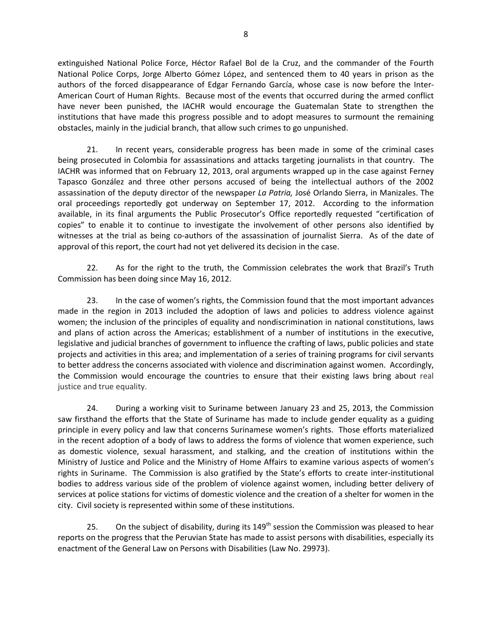extinguished National Police Force, Héctor Rafael Bol de la Cruz, and the commander of the Fourth National Police Corps, Jorge Alberto Gómez López, and sentenced them to 40 years in prison as the authors of the forced disappearance of Edgar Fernando García, whose case is now before the Inter-American Court of Human Rights. Because most of the events that occurred during the armed conflict have never been punished, the IACHR would encourage the Guatemalan State to strengthen the institutions that have made this progress possible and to adopt measures to surmount the remaining obstacles, mainly in the judicial branch, that allow such crimes to go unpunished.

21. In recent years, considerable progress has been made in some of the criminal cases being prosecuted in Colombia for assassinations and attacks targeting journalists in that country. The IACHR was informed that on February 12, 2013, oral arguments wrapped up in the case against Ferney Tapasco González and three other persons accused of being the intellectual authors of the 2002 assassination of the deputy director of the newspaper *La Patria,* José Orlando Sierra, in Manizales. The oral proceedings reportedly got underway on September 17, 2012. According to the information available, in its final arguments the Public Prosecutor's Office reportedly requested "certification of copies" to enable it to continue to investigate the involvement of other persons also identified by witnesses at the trial as being co-authors of the assassination of journalist Sierra. As of the date of approval of this report, the court had not yet delivered its decision in the case.

22. As for the right to the truth, the Commission celebrates the work that Brazil's Truth Commission has been doing since May 16, 2012.

23. In the case of women's rights, the Commission found that the most important advances made in the region in 2013 included the adoption of laws and policies to address violence against women; the inclusion of the principles of equality and nondiscrimination in national constitutions, laws and plans of action across the Americas; establishment of a number of institutions in the executive, legislative and judicial branches of government to influence the crafting of laws, public policies and state projects and activities in this area; and implementation of a series of training programs for civil servants to better address the concerns associated with violence and discrimination against women. Accordingly, the Commission would encourage the countries to ensure that their existing laws bring about real justice and true equality.

24. During a working visit to Suriname between January 23 and 25, 2013, the Commission saw firsthand the efforts that the State of Suriname has made to include gender equality as a guiding principle in every policy and law that concerns Surinamese women's rights. Those efforts materialized in the recent adoption of a body of laws to address the forms of violence that women experience, such as domestic violence, sexual harassment, and stalking, and the creation of institutions within the Ministry of Justice and Police and the Ministry of Home Affairs to examine various aspects of women's rights in Suriname. The Commission is also gratified by the State's efforts to create inter-institutional bodies to address various side of the problem of violence against women, including better delivery of services at police stations for victims of domestic violence and the creation of a shelter for women in the city. Civil society is represented within some of these institutions.

25. On the subject of disability, during its  $149<sup>th</sup>$  session the Commission was pleased to hear reports on the progress that the Peruvian State has made to assist persons with disabilities, especially its enactment of the General Law on Persons with Disabilities (Law No. 29973).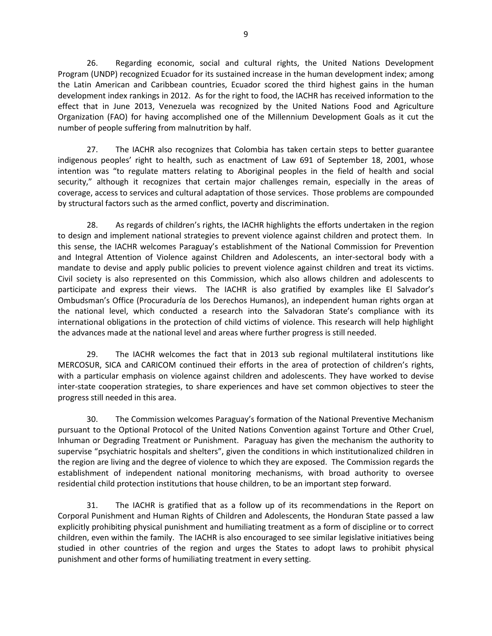26. Regarding economic, social and cultural rights, the United Nations Development Program (UNDP) recognized Ecuador for its sustained increase in the human development index; among the Latin American and Caribbean countries, Ecuador scored the third highest gains in the human development index rankings in 2012. As for the right to food, the IACHR has received information to the effect that in June 2013, Venezuela was recognized by the United Nations Food and Agriculture Organization (FAO) for having accomplished one of the Millennium Development Goals as it cut the number of people suffering from malnutrition by half.

27. The IACHR also recognizes that Colombia has taken certain steps to better guarantee indigenous peoples' right to health, such as enactment of Law 691 of September 18, 2001, whose intention was "to regulate matters relating to Aboriginal peoples in the field of health and social security," although it recognizes that certain major challenges remain, especially in the areas of coverage, access to services and cultural adaptation of those services. Those problems are compounded by structural factors such as the armed conflict, poverty and discrimination.

28. As regards of children's rights, the IACHR highlights the efforts undertaken in the region to design and implement national strategies to prevent violence against children and protect them. In this sense, the IACHR welcomes Paraguay's establishment of the National Commission for Prevention and Integral Attention of Violence against Children and Adolescents, an inter-sectoral body with a mandate to devise and apply public policies to prevent violence against children and treat its victims. Civil society is also represented on this Commission, which also allows children and adolescents to participate and express their views. The IACHR is also gratified by examples like El Salvador's Ombudsman's Office (Procuraduría de los Derechos Humanos), an independent human rights organ at the national level, which conducted a research into the Salvadoran State's compliance with its international obligations in the protection of child victims of violence. This research will help highlight the advances made at the national level and areas where further progress is still needed.

29. The IACHR welcomes the fact that in 2013 sub regional multilateral institutions like MERCOSUR, SICA and CARICOM continued their efforts in the area of protection of children's rights, with a particular emphasis on violence against children and adolescents. They have worked to devise inter-state cooperation strategies, to share experiences and have set common objectives to steer the progress still needed in this area.

30. The Commission welcomes Paraguay's formation of the National Preventive Mechanism pursuant to the Optional Protocol of the United Nations Convention against Torture and Other Cruel, Inhuman or Degrading Treatment or Punishment. Paraguay has given the mechanism the authority to supervise "psychiatric hospitals and shelters", given the conditions in which institutionalized children in the region are living and the degree of violence to which they are exposed. The Commission regards the establishment of independent national monitoring mechanisms, with broad authority to oversee residential child protection institutions that house children, to be an important step forward.

31. The IACHR is gratified that as a follow up of its recommendations in the Report on Corporal Punishment and Human Rights of Children and Adolescents, the Honduran State passed a law explicitly prohibiting physical punishment and humiliating treatment as a form of discipline or to correct children, even within the family. The IACHR is also encouraged to see similar legislative initiatives being studied in other countries of the region and urges the States to adopt laws to prohibit physical punishment and other forms of humiliating treatment in every setting.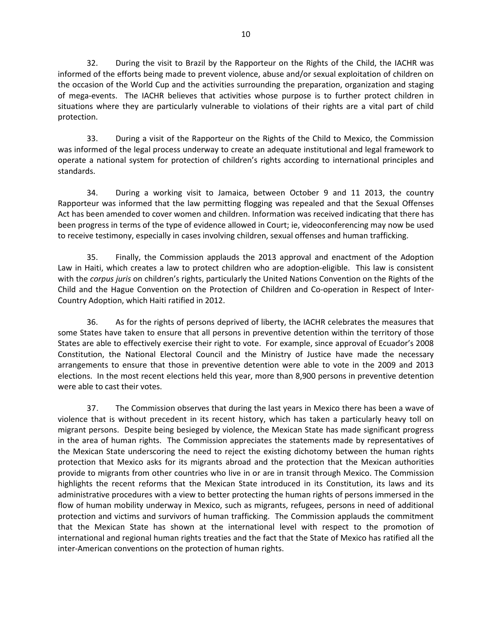32. During the visit to Brazil by the Rapporteur on the Rights of the Child, the IACHR was informed of the efforts being made to prevent violence, abuse and/or sexual exploitation of children on the occasion of the World Cup and the activities surrounding the preparation, organization and staging of mega-events. The IACHR believes that activities whose purpose is to further protect children in situations where they are particularly vulnerable to violations of their rights are a vital part of child protection.

33. During a visit of the Rapporteur on the Rights of the Child to Mexico, the Commission was informed of the legal process underway to create an adequate institutional and legal framework to operate a national system for protection of children's rights according to international principles and standards.

34. During a working visit to Jamaica, between October 9 and 11 2013, the country Rapporteur was informed that the law permitting flogging was repealed and that the Sexual Offenses Act has been amended to cover women and children. Information was received indicating that there has been progress in terms of the type of evidence allowed in Court; ie, videoconferencing may now be used to receive testimony, especially in cases involving children, sexual offenses and human trafficking.

35. Finally, the Commission applauds the 2013 approval and enactment of the Adoption Law in Haiti, which creates a law to protect children who are adoption-eligible. This law is consistent with the *corpus juris* on children's rights, particularly the United Nations Convention on the Rights of the Child and the Hague Convention on the Protection of Children and Co-operation in Respect of Inter-Country Adoption, which Haiti ratified in 2012.

36. As for the rights of persons deprived of liberty, the IACHR celebrates the measures that some States have taken to ensure that all persons in preventive detention within the territory of those States are able to effectively exercise their right to vote. For example, since approval of Ecuador's 2008 Constitution, the National Electoral Council and the Ministry of Justice have made the necessary arrangements to ensure that those in preventive detention were able to vote in the 2009 and 2013 elections. In the most recent elections held this year, more than 8,900 persons in preventive detention were able to cast their votes.

37. The Commission observes that during the last years in Mexico there has been a wave of violence that is without precedent in its recent history, which has taken a particularly heavy toll on migrant persons. Despite being besieged by violence, the Mexican State has made significant progress in the area of human rights. The Commission appreciates the statements made by representatives of the Mexican State underscoring the need to reject the existing dichotomy between the human rights protection that Mexico asks for its migrants abroad and the protection that the Mexican authorities provide to migrants from other countries who live in or are in transit through Mexico. The Commission highlights the recent reforms that the Mexican State introduced in its Constitution, its laws and its administrative procedures with a view to better protecting the human rights of persons immersed in the flow of human mobility underway in Mexico, such as migrants, refugees, persons in need of additional protection and victims and survivors of human trafficking. The Commission applauds the commitment that the Mexican State has shown at the international level with respect to the promotion of international and regional human rights treaties and the fact that the State of Mexico has ratified all the inter-American conventions on the protection of human rights.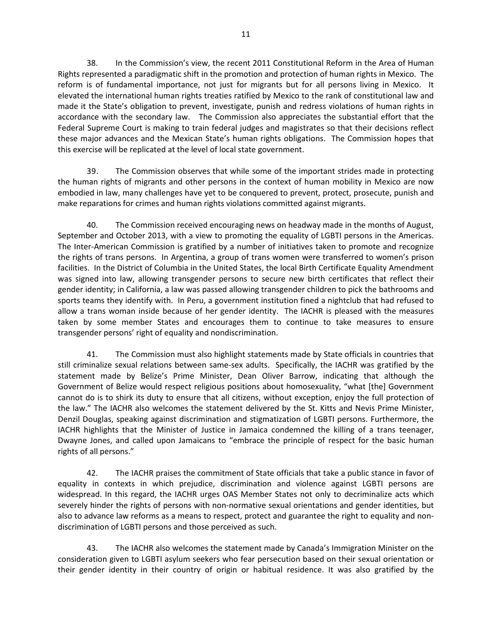38. In the Commission's view, the recent 2011 Constitutional Reform in the Area of Human Rights represented a paradigmatic shift in the promotion and protection of human rights in Mexico. The reform is of fundamental importance, not just for migrants but for all persons living in Mexico. It elevated the international human rights treaties ratified by Mexico to the rank of constitutional law and made it the State's obligation to prevent, investigate, punish and redress violations of human rights in accordance with the secondary law. The Commission also appreciates the substantial effort that the Federal Supreme Court is making to train federal judges and magistrates so that their decisions reflect these major advances and the Mexican State's human rights obligations. The Commission hopes that this exercise will be replicated at the level of local state government.

39. The Commission observes that while some of the important strides made in protecting the human rights of migrants and other persons in the context of human mobility in Mexico are now embodied in law, many challenges have yet to be conquered to prevent, protect, prosecute, punish and make reparations for crimes and human rights violations committed against migrants.

40. The Commission received encouraging news on headway made in the months of August, September and October 2013, with a view to promoting the equality of LGBTI persons in the Americas. The Inter-American Commission is gratified by a number of initiatives taken to promote and recognize the rights of trans persons. In Argentina, a group of trans women were transferred to women's prison facilities. In the District of Columbia in the United States, the local Birth Certificate Equality Amendment was signed into law, allowing transgender persons to secure new birth certificates that reflect their gender identity; in California, a law was passed allowing transgender children to pick the bathrooms and sports teams they identify with. In Peru, a government institution fined a nightclub that had refused to allow a trans woman inside because of her gender identity. The IACHR is pleased with the measures taken by some member States and encourages them to continue to take measures to ensure transgender persons' right of equality and nondiscrimination.

41. The Commission must also highlight statements made by State officials in countries that still criminalize sexual relations between same-sex adults. Specifically, the IACHR was gratified by the statement made by Belize's Prime Minister, Dean Oliver Barrow, indicating that although the Government of Belize would respect religious positions about homosexuality, "what [the] Government cannot do is to shirk its duty to ensure that all citizens, without exception, enjoy the full protection of the law." The IACHR also welcomes the statement delivered by the St. Kitts and Nevis Prime Minister, Denzil Douglas, speaking against discrimination and stigmatization of LGBTI persons. Furthermore, the IACHR highlights that the Minister of Justice in Jamaica condemned the killing of a trans teenager, Dwayne Jones, and called upon Jamaicans to "embrace the principle of respect for the basic human rights of all persons."

42. The IACHR praises the commitment of State officials that take a public stance in favor of equality in contexts in which prejudice, discrimination and violence against LGBTI persons are widespread. In this regard, the IACHR urges OAS Member States not only to decriminalize acts which severely hinder the rights of persons with non-normative sexual orientations and gender identities, but also to advance law reforms as a means to respect, protect and guarantee the right to equality and nondiscrimination of LGBTI persons and those perceived as such.

43. The IACHR also welcomes the statement made by Canada's Immigration Minister on the consideration given to LGBTI asylum seekers who fear persecution based on their sexual orientation or their gender identity in their country of origin or habitual residence. It was also gratified by the